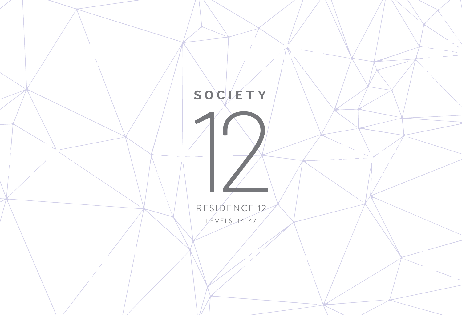